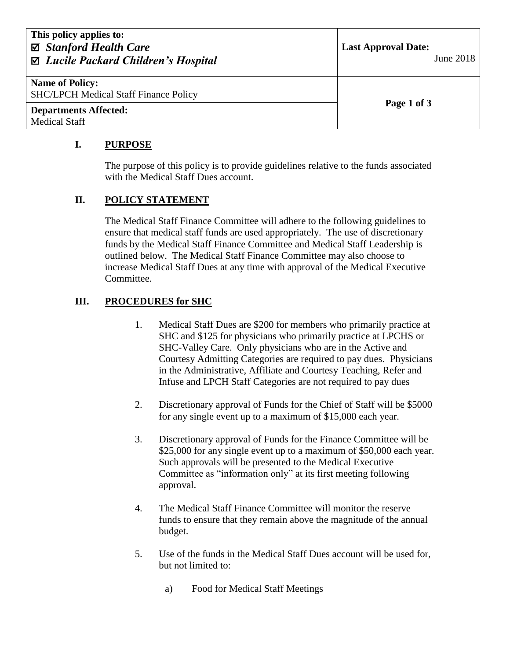| This policy applies to:<br>⊠ Stanford Health Care<br>⊠ Lucile Packard Children's Hospital | <b>Last Approval Date:</b><br>June 2018 |
|-------------------------------------------------------------------------------------------|-----------------------------------------|
| <b>Name of Policy:</b><br><b>SHC/LPCH Medical Staff Finance Policy</b>                    | Page 1 of 3                             |
| <b>Departments Affected:</b><br><b>Medical Staff</b>                                      |                                         |

# **I. PURPOSE**

The purpose of this policy is to provide guidelines relative to the funds associated with the Medical Staff Dues account.

## **II. POLICY STATEMENT**

The Medical Staff Finance Committee will adhere to the following guidelines to ensure that medical staff funds are used appropriately. The use of discretionary funds by the Medical Staff Finance Committee and Medical Staff Leadership is outlined below. The Medical Staff Finance Committee may also choose to increase Medical Staff Dues at any time with approval of the Medical Executive Committee.

## **III. PROCEDURES for SHC**

- 1. Medical Staff Dues are \$200 for members who primarily practice at SHC and \$125 for physicians who primarily practice at LPCHS or SHC-Valley Care. Only physicians who are in the Active and Courtesy Admitting Categories are required to pay dues. Physicians in the Administrative, Affiliate and Courtesy Teaching, Refer and Infuse and LPCH Staff Categories are not required to pay dues
- 2. Discretionary approval of Funds for the Chief of Staff will be \$5000 for any single event up to a maximum of \$15,000 each year.
- 3. Discretionary approval of Funds for the Finance Committee will be \$25,000 for any single event up to a maximum of \$50,000 each year. Such approvals will be presented to the Medical Executive Committee as "information only" at its first meeting following approval.
- 4. The Medical Staff Finance Committee will monitor the reserve funds to ensure that they remain above the magnitude of the annual budget.
- 5. Use of the funds in the Medical Staff Dues account will be used for, but not limited to:
	- a) Food for Medical Staff Meetings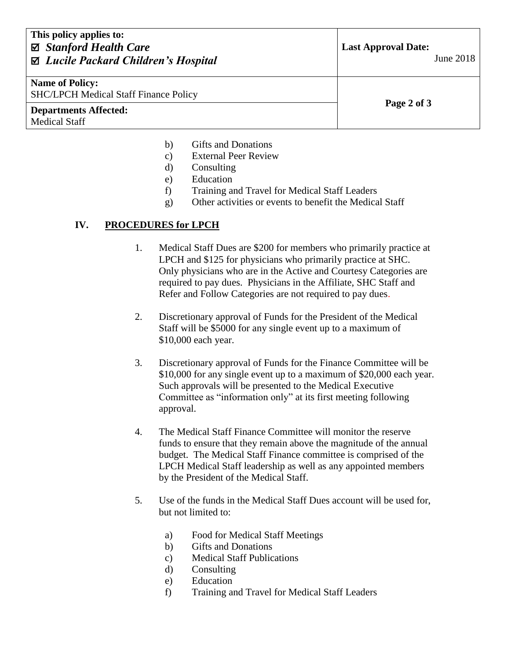| This policy applies to:<br>$\boxtimes$ Stanford Health Care<br>⊠ Lucile Packard Children's Hospital | <b>Last Approval Date:</b><br>June 2018 |
|-----------------------------------------------------------------------------------------------------|-----------------------------------------|
| <b>Name of Policy:</b><br><b>SHC/LPCH Medical Staff Finance Policy</b>                              | Page 2 of 3                             |
| <b>Departments Affected:</b><br><b>Medical Staff</b>                                                |                                         |

- b) Gifts and Donations
- c) External Peer Review
- d) Consulting
- e) Education
- f) Training and Travel for Medical Staff Leaders
- g) Other activities or events to benefit the Medical Staff

#### **IV. PROCEDURES for LPCH**

- 1. Medical Staff Dues are \$200 for members who primarily practice at LPCH and \$125 for physicians who primarily practice at SHC. Only physicians who are in the Active and Courtesy Categories are required to pay dues. Physicians in the Affiliate, SHC Staff and Refer and Follow Categories are not required to pay dues.
- 2. Discretionary approval of Funds for the President of the Medical Staff will be \$5000 for any single event up to a maximum of \$10,000 each year.
- 3. Discretionary approval of Funds for the Finance Committee will be \$10,000 for any single event up to a maximum of \$20,000 each year. Such approvals will be presented to the Medical Executive Committee as "information only" at its first meeting following approval.
- 4. The Medical Staff Finance Committee will monitor the reserve funds to ensure that they remain above the magnitude of the annual budget. The Medical Staff Finance committee is comprised of the LPCH Medical Staff leadership as well as any appointed members by the President of the Medical Staff.
- 5. Use of the funds in the Medical Staff Dues account will be used for, but not limited to:
	- a) Food for Medical Staff Meetings
	- b) Gifts and Donations
	- c) Medical Staff Publications
	- d) Consulting
	- e) Education
	- f) Training and Travel for Medical Staff Leaders